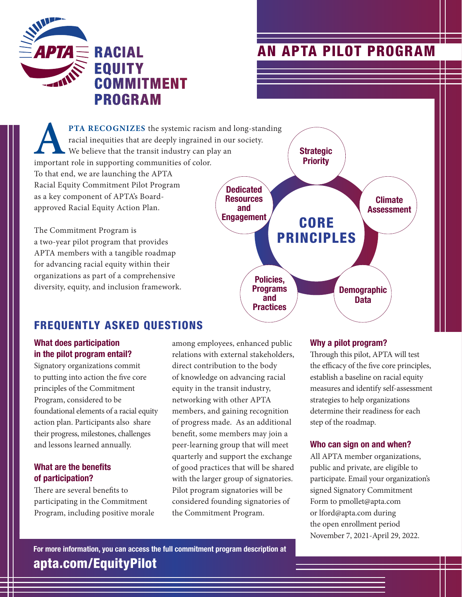

# AN APTA PILOT PROGRAM

**Dedicated Resources** and **PTA RECOGNIZES** the systemic racism and long-standing racial inequities that are deeply ingrained in our society. We believe that the transit industry can play an important role in supporting communities of color. To that end, we are launching the APTA Racial Equity Commitment Pilot Program as a key component of APTA's Boardapproved Racial Equity Action Plan.

The Commitment Program is a two-year pilot program that provides APTA members with a tangible roadmap for advancing racial equity within their organizations as part of a comprehensive diversity, equity, and inclusion framework.



## FREQUENTLY ASKED QUESTIONS

### What does participation in the pilot program entail?

Signatory organizations commit to putting into action the five core principles of the Commitment Program, considered to be foundational elements of a racial equity action plan. Participants also share their progress, milestones, challenges and lessons learned annually.

### What are the benefits of participation?

There are several benefits to participating in the Commitment Program, including positive morale among employees, enhanced public relations with external stakeholders, direct contribution to the body of knowledge on advancing racial equity in the transit industry, networking with other APTA members, and gaining recognition of progress made. As an additional benefit, some members may join a peer-learning group that will meet quarterly and support the exchange of good practices that will be shared with the larger group of signatories. Pilot program signatories will be considered founding signatories of the Commitment Program.

### Why a pilot program?

Through this pilot, APTA will test the efficacy of the five core principles, establish a baseline on racial equity measures and identify self-assessment strategies to help organizations determine their readiness for each step of the roadmap.

### Who can sign on and when?

All APTA member organizations, public and private, are eligible to participate. Email your organization's signed Signatory Commitment Form to pmollet@apta.com or lford@apta.com during the open enrollment period November 7, 2021-April 29, 2022.

For more information, you can access the full commitment program description at apta.com/EquityPilot